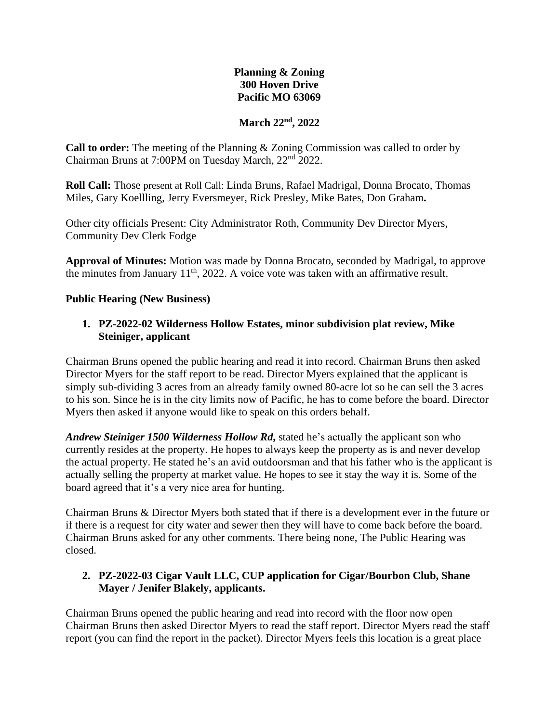# **Planning & Zoning 300 Hoven Drive Pacific MO 63069**

## **March 22nd, 2022**

**Call to order:** The meeting of the Planning & Zoning Commission was called to order by Chairman Bruns at 7:00PM on Tuesday March, 22nd 2022.

**Roll Call:** Those present at Roll Call: Linda Bruns, Rafael Madrigal, Donna Brocato, Thomas Miles, Gary Koellling, Jerry Eversmeyer, Rick Presley, Mike Bates, Don Graham**.**

Other city officials Present: City Administrator Roth, Community Dev Director Myers, Community Dev Clerk Fodge

**Approval of Minutes:** Motion was made by Donna Brocato, seconded by Madrigal, to approve the minutes from January  $11<sup>th</sup>$ , 2022. A voice vote was taken with an affirmative result.

### **Public Hearing (New Business)**

## **1. PZ-2022-02 Wilderness Hollow Estates, minor subdivision plat review, Mike Steiniger, applicant**

Chairman Bruns opened the public hearing and read it into record. Chairman Bruns then asked Director Myers for the staff report to be read. Director Myers explained that the applicant is simply sub-dividing 3 acres from an already family owned 80-acre lot so he can sell the 3 acres to his son. Since he is in the city limits now of Pacific, he has to come before the board. Director Myers then asked if anyone would like to speak on this orders behalf.

*Andrew Steiniger 1500 Wilderness Hollow Rd***,** stated he's actually the applicant son who currently resides at the property. He hopes to always keep the property as is and never develop the actual property. He stated he's an avid outdoorsman and that his father who is the applicant is actually selling the property at market value. He hopes to see it stay the way it is. Some of the board agreed that it's a very nice area for hunting.

Chairman Bruns & Director Myers both stated that if there is a development ever in the future or if there is a request for city water and sewer then they will have to come back before the board. Chairman Bruns asked for any other comments. There being none, The Public Hearing was closed.

## **2. PZ-2022-03 Cigar Vault LLC, CUP application for Cigar/Bourbon Club, Shane Mayer / Jenifer Blakely, applicants.**

Chairman Bruns opened the public hearing and read into record with the floor now open Chairman Bruns then asked Director Myers to read the staff report. Director Myers read the staff report (you can find the report in the packet). Director Myers feels this location is a great place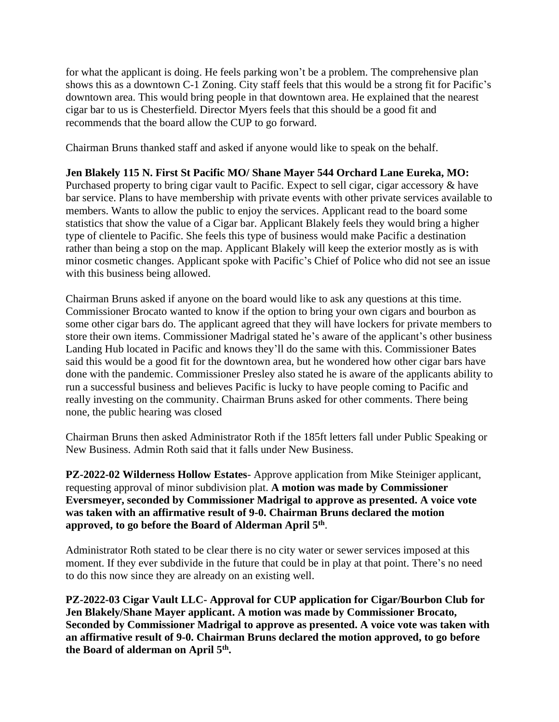for what the applicant is doing. He feels parking won't be a problem. The comprehensive plan shows this as a downtown C-1 Zoning. City staff feels that this would be a strong fit for Pacific's downtown area. This would bring people in that downtown area. He explained that the nearest cigar bar to us is Chesterfield. Director Myers feels that this should be a good fit and recommends that the board allow the CUP to go forward.

Chairman Bruns thanked staff and asked if anyone would like to speak on the behalf.

# **Jen Blakely 115 N. First St Pacific MO/ Shane Mayer 544 Orchard Lane Eureka, MO:**

Purchased property to bring cigar vault to Pacific. Expect to sell cigar, cigar accessory & have bar service. Plans to have membership with private events with other private services available to members. Wants to allow the public to enjoy the services. Applicant read to the board some statistics that show the value of a Cigar bar. Applicant Blakely feels they would bring a higher type of clientele to Pacific. She feels this type of business would make Pacific a destination rather than being a stop on the map. Applicant Blakely will keep the exterior mostly as is with minor cosmetic changes. Applicant spoke with Pacific's Chief of Police who did not see an issue with this business being allowed.

Chairman Bruns asked if anyone on the board would like to ask any questions at this time. Commissioner Brocato wanted to know if the option to bring your own cigars and bourbon as some other cigar bars do. The applicant agreed that they will have lockers for private members to store their own items. Commissioner Madrigal stated he's aware of the applicant's other business Landing Hub located in Pacific and knows they'll do the same with this. Commissioner Bates said this would be a good fit for the downtown area, but he wondered how other cigar bars have done with the pandemic. Commissioner Presley also stated he is aware of the applicants ability to run a successful business and believes Pacific is lucky to have people coming to Pacific and really investing on the community. Chairman Bruns asked for other comments. There being none, the public hearing was closed

Chairman Bruns then asked Administrator Roth if the 185ft letters fall under Public Speaking or New Business. Admin Roth said that it falls under New Business.

**PZ-2022-02 Wilderness Hollow Estates**- Approve application from Mike Steiniger applicant, requesting approval of minor subdivision plat. **A motion was made by Commissioner Eversmeyer, seconded by Commissioner Madrigal to approve as presented. A voice vote was taken with an affirmative result of 9-0. Chairman Bruns declared the motion approved, to go before the Board of Alderman April 5th** .

Administrator Roth stated to be clear there is no city water or sewer services imposed at this moment. If they ever subdivide in the future that could be in play at that point. There's no need to do this now since they are already on an existing well.

**PZ-2022-03 Cigar Vault LLC- Approval for CUP application for Cigar/Bourbon Club for Jen Blakely/Shane Mayer applicant. A motion was made by Commissioner Brocato, Seconded by Commissioner Madrigal to approve as presented. A voice vote was taken with an affirmative result of 9-0. Chairman Bruns declared the motion approved, to go before the Board of alderman on April 5th .**